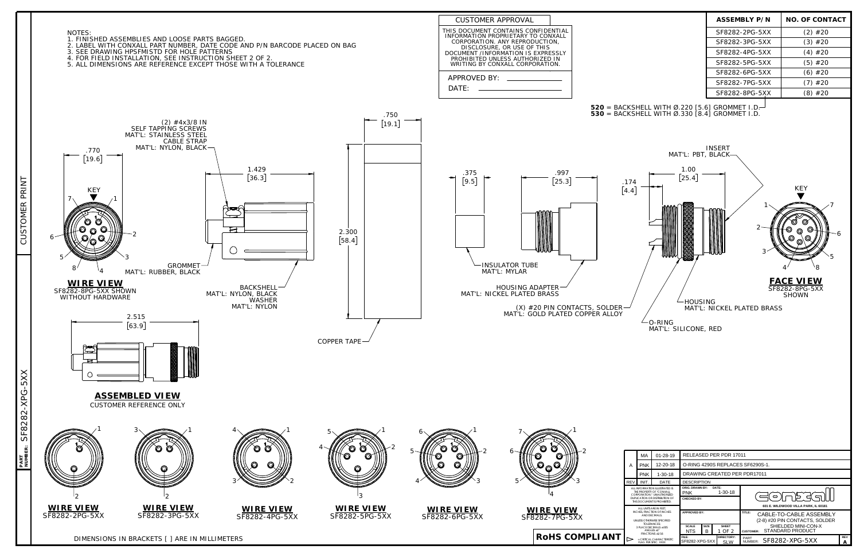**RoHS COMPLIANT**

| <b>ASSEMBLY P/N</b> | <b>NO. OF CONTACT</b> |
|---------------------|-----------------------|
| SF8282-2PG-5XX      | $(2)$ #20             |
| SF8282-3PG-5XX      | $(3)$ #20             |
| SF8282-4PG-5XX      | $(4)$ #20             |
| SF8282-5PG-5XX      | $(5)$ #20             |
| SF8282-6PG-5XX      | $(6)$ #20             |
| SF8282-7PG-5XX      | $(7)$ #20             |
| SF8282-8PG-5XX      | (8) #20               |



**PART**

|                                                                                                                                                            | MA         | $01 - 28 - 19$ | RELEASED PER PDR 17011                              |                          |                                                                                                             |                 |  |  |
|------------------------------------------------------------------------------------------------------------------------------------------------------------|------------|----------------|-----------------------------------------------------|--------------------------|-------------------------------------------------------------------------------------------------------------|-----------------|--|--|
|                                                                                                                                                            | <b>PNK</b> | 12-20-18       | O-RING 4290S REPLACES SF6290S-1.                    |                          |                                                                                                             |                 |  |  |
|                                                                                                                                                            | <b>PNK</b> | $1 - 30 - 18$  | DRAWING CREATED PER PDR17011                        |                          |                                                                                                             |                 |  |  |
|                                                                                                                                                            | INIT.      | DATE           | <b>DESCRIPTION</b>                                  |                          |                                                                                                             |                 |  |  |
| ALL INFORMATION ILLUSTRATED IS<br>THE PROPERTY OF "CONXALL<br>CORPORATION * UNAUTHORIZED<br>DUPLICATION OR DISTRIBUTION OF<br>THIS DOCUMENT IS PROHIBITED. |            |                | <b>ORIG. DRAWN BY:</b><br><b>PNK</b><br>CHECKED BY: | DATE:<br>$1 - 30 - 18$   | כן -<br>$\circ$                                                                                             |                 |  |  |
| ALL UNITS ARE IN FEET.<br><b>INCHES. FRACTION OF INCHES</b><br>AND DECIMALS<br>UNLESS OTHERWISE SPECIFIED.<br>TOI FRANCES:                                 |            |                | <b>APPROVED BY:</b>                                 |                          | 601 E. WILDWOOD VILLA PARK. IL 60181<br>TITLE:<br>CABLE-TO-CABLE ASSEMBLY<br>(2-8) #20 PIN CONTACTS, SOLDER |                 |  |  |
| 3 PLACE DECIMALS + 005<br>ANGLES $+1$ <sup>*</sup><br>FRACTIONS +1/16                                                                                      |            |                | <b>SCALE</b><br><b>SIZE</b><br>B<br><b>NTS</b>      | <b>SHEET</b><br>1 OF 2   | SHIELDED MINI-CON-X<br>STANDARD PRODUCT<br><b>CUSTOMER:</b>                                                 |                 |  |  |
| $=$ CRITICAL CHARACTERISTIC.<br><b>FLAG PER SPEC: XXXX</b>                                                                                                 |            |                | FILE:<br>SF8282-XPG-5XX                             | DIRECTORY:<br><b>SLW</b> | PART<br>SF8282-XPG-5XX<br>NUMBER:                                                                           | <b>REV</b><br>А |  |  |

DIMENSIONS IN BRACKETS [ ] ARE IN MILLIMETERS